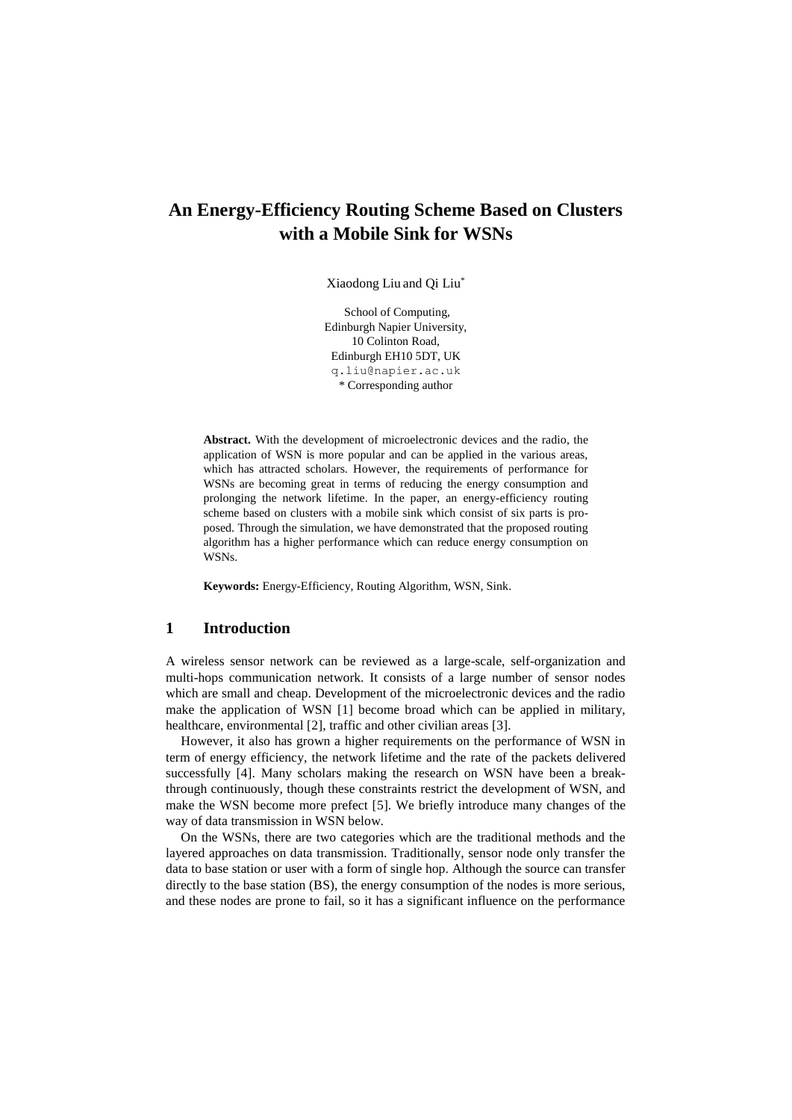# **An Energy-Efficiency Routing Scheme Based on Clusters with a Mobile Sink for WSNs**

Xiaodong Liu and Qi Liu\*

School of Computing, Edinburgh Napier University, 10 Colinton Road, Edinburgh EH10 5DT, UK q.liu@napier.ac.uk \* Corresponding author

**Abstract.** With the development of microelectronic devices and the radio, the application of WSN is more popular and can be applied in the various areas, which has attracted scholars. However, the requirements of performance for WSNs are becoming great in terms of reducing the energy consumption and prolonging the network lifetime. In the paper, an energy-efficiency routing scheme based on clusters with a mobile sink which consist of six parts is proposed. Through the simulation, we have demonstrated that the proposed routing algorithm has a higher performance which can reduce energy consumption on WSNs.

**Keywords:** Energy-Efficiency, Routing Algorithm, WSN, Sink.

# **1 Introduction**

A wireless sensor network can be reviewed as a large-scale, self-organization and multi-hops communication network. It consists of a large number of sensor nodes which are small and cheap. Development of the microelectronic devices and the radio make the application of WSN [1] become broad which can be applied in military, healthcare, environmental [2], traffic and other civilian areas [3].

However, it also has grown a higher requirements on the performance of WSN in term of energy efficiency, the network lifetime and the rate of the packets delivered successfully [4]. Many scholars making the research on WSN have been a breakthrough continuously, though these constraints restrict the development of WSN, and make the WSN become more prefect [5]. We briefly introduce many changes of the way of data transmission in WSN below.

On the WSNs, there are two categories which are the traditional methods and the layered approaches on data transmission. Traditionally, sensor node only transfer the data to base station or user with a form of single hop. Although the source can transfer directly to the base station (BS), the energy consumption of the nodes is more serious, and these nodes are prone to fail, so it has a significant influence on the performance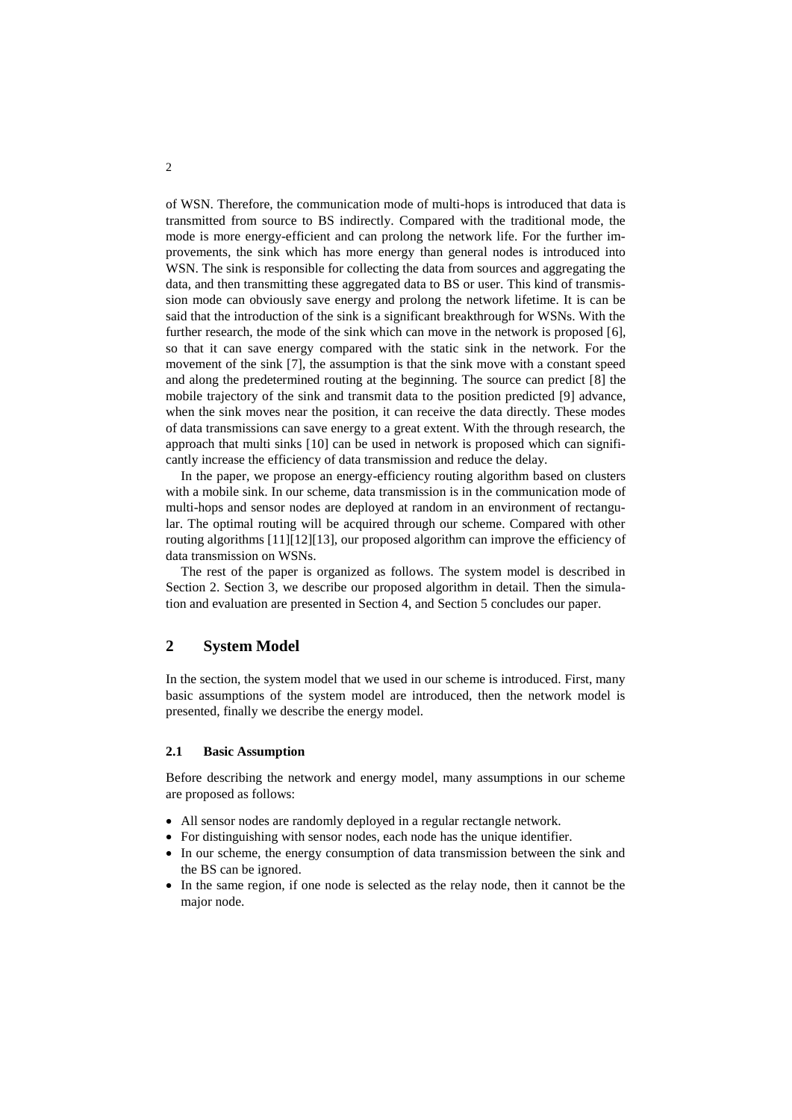of WSN. Therefore, the communication mode of multi-hops is introduced that data is transmitted from source to BS indirectly. Compared with the traditional mode, the mode is more energy-efficient and can prolong the network life. For the further improvements, the sink which has more energy than general nodes is introduced into WSN. The sink is responsible for collecting the data from sources and aggregating the data, and then transmitting these aggregated data to BS or user. This kind of transmission mode can obviously save energy and prolong the network lifetime. It is can be said that the introduction of the sink is a significant breakthrough for WSNs. With the further research, the mode of the sink which can move in the network is proposed [6], so that it can save energy compared with the static sink in the network. For the movement of the sink [7], the assumption is that the sink move with a constant speed and along the predetermined routing at the beginning. The source can predict [8] the mobile trajectory of the sink and transmit data to the position predicted [9] advance, when the sink moves near the position, it can receive the data directly. These modes of data transmissions can save energy to a great extent. With the through research, the approach that multi sinks [10] can be used in network is proposed which can significantly increase the efficiency of data transmission and reduce the delay.

In the paper, we propose an energy-efficiency routing algorithm based on clusters with a mobile sink. In our scheme, data transmission is in the communication mode of multi-hops and sensor nodes are deployed at random in an environment of rectangular. The optimal routing will be acquired through our scheme. Compared with other routing algorithms [11][12][13], our proposed algorithm can improve the efficiency of data transmission on WSNs.

The rest of the paper is organized as follows. The system model is described in Section 2. Section 3, we describe our proposed algorithm in detail. Then the simulation and evaluation are presented in Section 4, and Section 5 concludes our paper.

# **2 System Model**

In the section, the system model that we used in our scheme is introduced. First, many basic assumptions of the system model are introduced, then the network model is presented, finally we describe the energy model.

#### **2.1 Basic Assumption**

Before describing the network and energy model, many assumptions in our scheme are proposed as follows:

- All sensor nodes are randomly deployed in a regular rectangle network.
- For distinguishing with sensor nodes, each node has the unique identifier.
- In our scheme, the energy consumption of data transmission between the sink and the BS can be ignored.
- In the same region, if one node is selected as the relay node, then it cannot be the major node.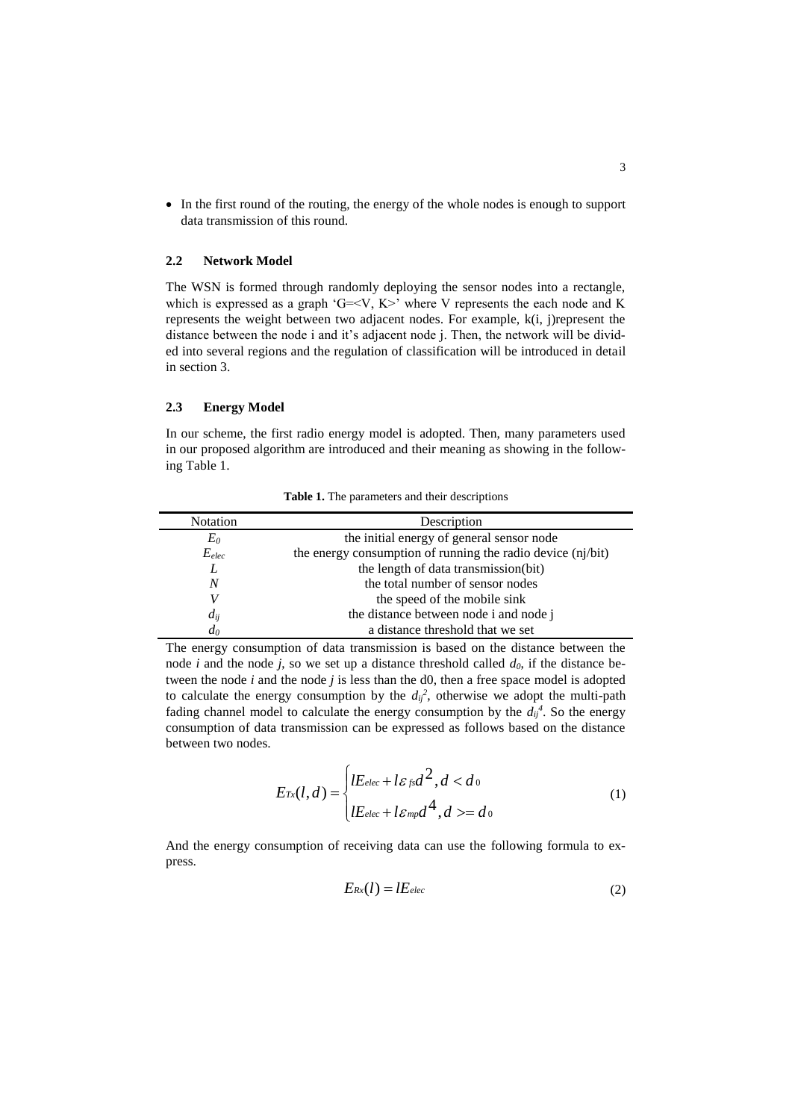• In the first round of the routing, the energy of the whole nodes is enough to support data transmission of this round.

#### **2.2 Network Model**

The WSN is formed through randomly deploying the sensor nodes into a rectangle, which is expressed as a graph 'G= $\langle V, K \rangle$ ' where V represents the each node and K represents the weight between two adjacent nodes. For example, k(i, j)represent the distance between the node i and it's adjacent node j. Then, the network will be divided into several regions and the regulation of classification will be introduced in detail in section 3.

### **2.3 Energy Model**

In our scheme, the first radio energy model is adopted. Then, many parameters used in our proposed algorithm are introduced and their meaning as showing in the following Table 1.

**Table 1.** The parameters and their descriptions

| <b>Notation</b> | Description                                                 |
|-----------------|-------------------------------------------------------------|
| $E_{0}$         | the initial energy of general sensor node                   |
| $E_{elec}$      | the energy consumption of running the radio device (nj/bit) |
| L               | the length of data transmission(bit)                        |
| N               | the total number of sensor nodes                            |
|                 | the speed of the mobile sink                                |
| $d_{ij}$        | the distance between node i and node j                      |
| $d_0$           | a distance threshold that we set                            |

The energy consumption of data transmission is based on the distance between the node *i* and the node *j*, so we set up a distance threshold called *d0*, if the distance between the node *i* and the node *j* is less than the d0, then a free space model is adopted to calculate the energy consumption by the  $d_{ij}^2$ , otherwise we adopt the multi-path fading channel model to calculate the energy consumption by the  $d_{ij}^4$ . So the energy consumption of data transmission can be expressed as follows based on the distance between two nodes.

$$
E_{Tx}(l,d) = \begin{cases} lE_{elec} + l\varepsilon_{fs}d^2, d < d_0\\ lE_{elec} + l\varepsilon_{mp}d^4, d > = d_0 \end{cases}
$$
 (1)

And the energy consumption of receiving data can use the following formula to express.

$$
E_{Rx}(l) = lE_{elec}
$$
 (2)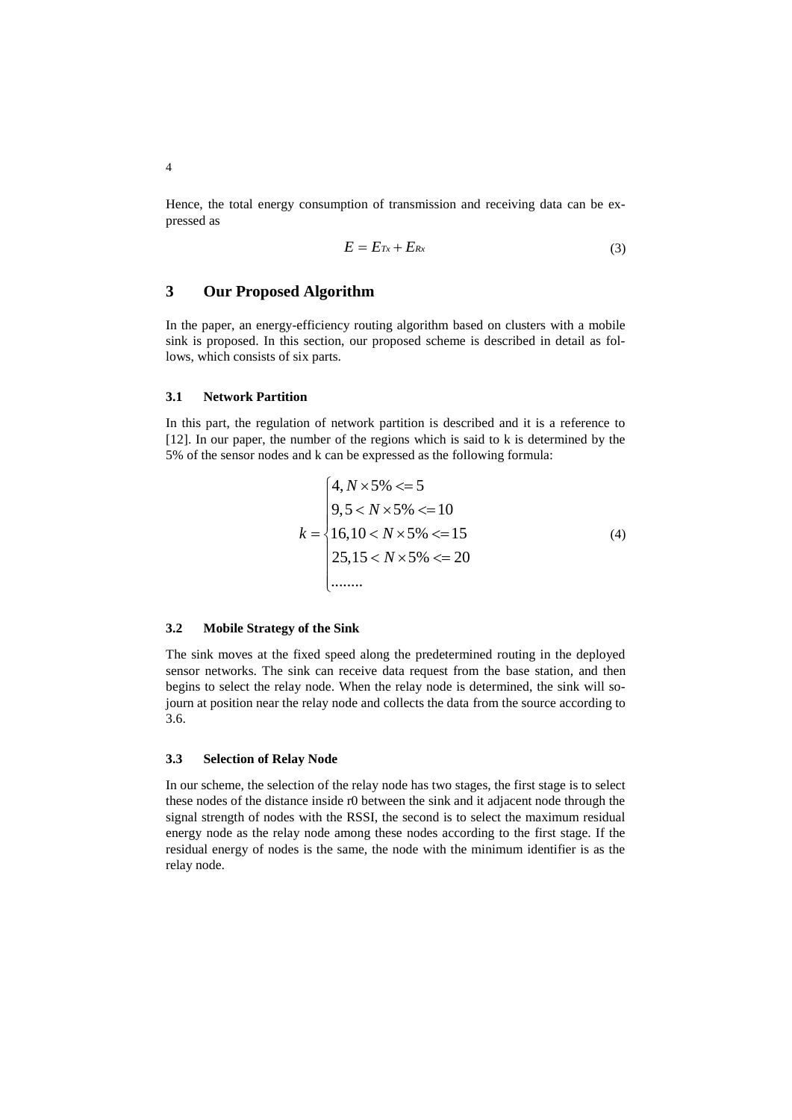Hence, the total energy consumption of transmission and receiving data can be expressed as

$$
E = E_{Tx} + E_{Rx} \tag{3}
$$

# **3 Our Proposed Algorithm**

In the paper, an energy-efficiency routing algorithm based on clusters with a mobile sink is proposed. In this section, our proposed scheme is described in detail as follows, which consists of six parts.

### **3.1 Network Partition**

In this part, the regulation of network partition is described and it is a reference to [12]. In our paper, the number of the regions which is said to k is determined by the 5% of the sensor nodes and k can be expressed as the following formula:

$$
k = \begin{cases} 4, N \times 5\% <= 5 \\ 9, 5 < N \times 5\% <= 10 \\ 16, 10 < N \times 5\% <= 15 \\ 25, 15 < N \times 5\% <= 20 \\ \dots & \dots \end{cases} \tag{4}
$$

#### **3.2 Mobile Strategy of the Sink**

The sink moves at the fixed speed along the predetermined routing in the deployed sensor networks. The sink can receive data request from the base station, and then begins to select the relay node. When the relay node is determined, the sink will sojourn at position near the relay node and collects the data from the source according to 3.6.

#### **3.3 Selection of Relay Node**

In our scheme, the selection of the relay node has two stages, the first stage is to select these nodes of the distance inside r0 between the sink and it adjacent node through the signal strength of nodes with the RSSI, the second is to select the maximum residual energy node as the relay node among these nodes according to the first stage. If the residual energy of nodes is the same, the node with the minimum identifier is as the relay node.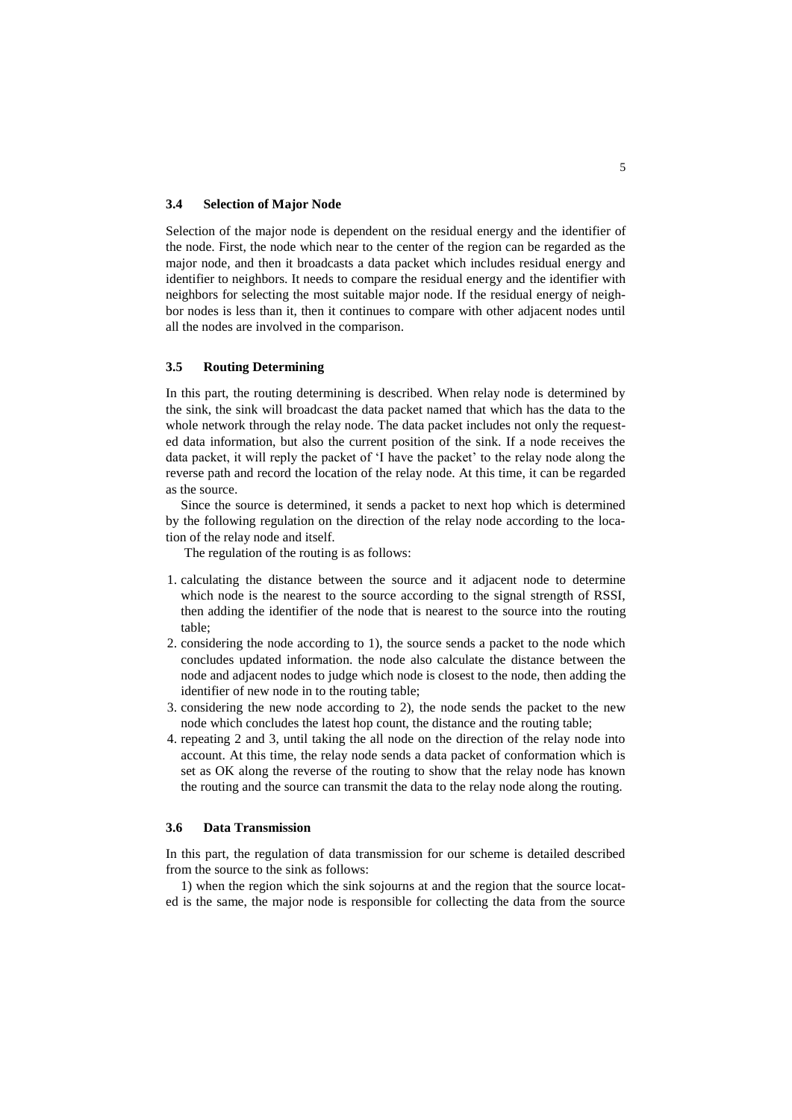#### **3.4 Selection of Major Node**

Selection of the major node is dependent on the residual energy and the identifier of the node. First, the node which near to the center of the region can be regarded as the major node, and then it broadcasts a data packet which includes residual energy and identifier to neighbors. It needs to compare the residual energy and the identifier with neighbors for selecting the most suitable major node. If the residual energy of neighbor nodes is less than it, then it continues to compare with other adjacent nodes until all the nodes are involved in the comparison.

#### **3.5 Routing Determining**

In this part, the routing determining is described. When relay node is determined by the sink, the sink will broadcast the data packet named that which has the data to the whole network through the relay node. The data packet includes not only the requested data information, but also the current position of the sink. If a node receives the data packet, it will reply the packet of 'I have the packet' to the relay node along the reverse path and record the location of the relay node. At this time, it can be regarded as the source.

Since the source is determined, it sends a packet to next hop which is determined by the following regulation on the direction of the relay node according to the location of the relay node and itself.

The regulation of the routing is as follows:

- 1. calculating the distance between the source and it adjacent node to determine which node is the nearest to the source according to the signal strength of RSSI, then adding the identifier of the node that is nearest to the source into the routing table;
- 2. considering the node according to 1), the source sends a packet to the node which concludes updated information. the node also calculate the distance between the node and adjacent nodes to judge which node is closest to the node, then adding the identifier of new node in to the routing table;
- 3. considering the new node according to 2), the node sends the packet to the new node which concludes the latest hop count, the distance and the routing table;
- 4. repeating 2 and 3, until taking the all node on the direction of the relay node into account. At this time, the relay node sends a data packet of conformation which is set as OK along the reverse of the routing to show that the relay node has known the routing and the source can transmit the data to the relay node along the routing.

#### **3.6 Data Transmission**

In this part, the regulation of data transmission for our scheme is detailed described from the source to the sink as follows:

1) when the region which the sink sojourns at and the region that the source located is the same, the major node is responsible for collecting the data from the source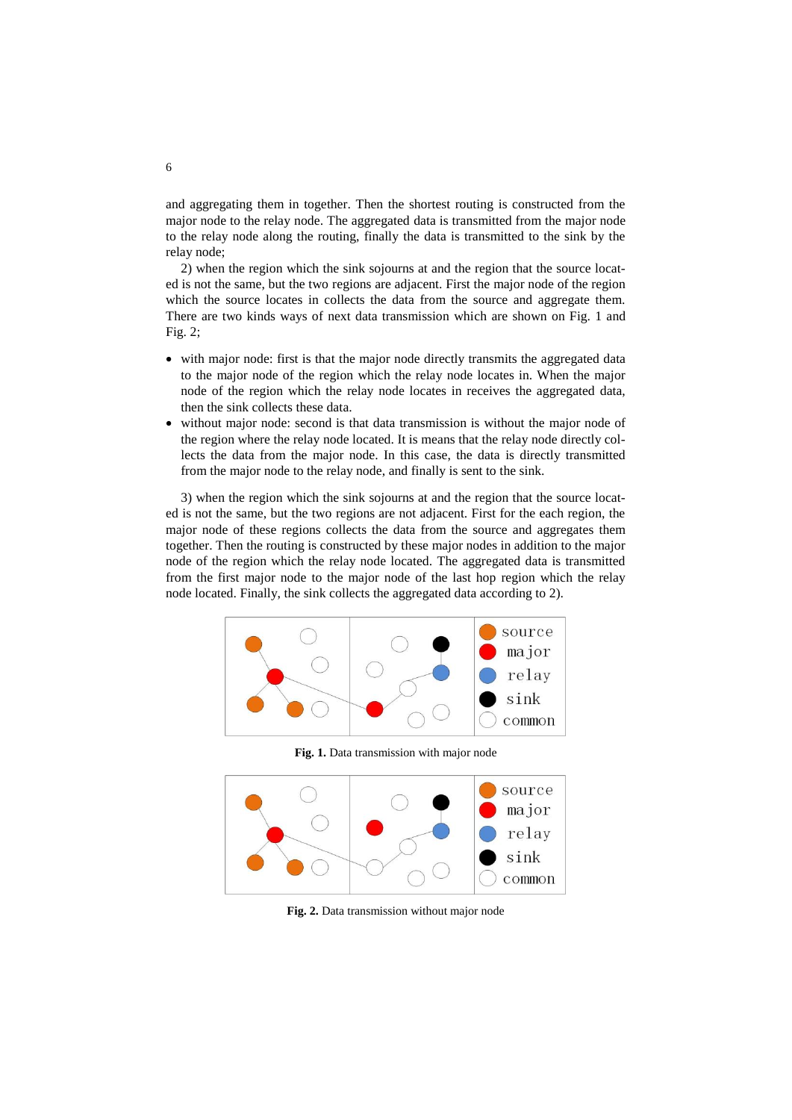and aggregating them in together. Then the shortest routing is constructed from the major node to the relay node. The aggregated data is transmitted from the major node to the relay node along the routing, finally the data is transmitted to the sink by the relay node;

2) when the region which the sink sojourns at and the region that the source located is not the same, but the two regions are adjacent. First the major node of the region which the source locates in collects the data from the source and aggregate them. There are two kinds ways of next data transmission which are shown on Fig. 1 and Fig. 2;

- with major node: first is that the major node directly transmits the aggregated data to the major node of the region which the relay node locates in. When the major node of the region which the relay node locates in receives the aggregated data, then the sink collects these data.
- without major node: second is that data transmission is without the major node of the region where the relay node located. It is means that the relay node directly collects the data from the major node. In this case, the data is directly transmitted from the major node to the relay node, and finally is sent to the sink.

3) when the region which the sink sojourns at and the region that the source located is not the same, but the two regions are not adjacent. First for the each region, the major node of these regions collects the data from the source and aggregates them together. Then the routing is constructed by these major nodes in addition to the major node of the region which the relay node located. The aggregated data is transmitted from the first major node to the major node of the last hop region which the relay node located. Finally, the sink collects the aggregated data according to 2).



**Fig. 1.** Data transmission with major node



**Fig. 2.** Data transmission without major node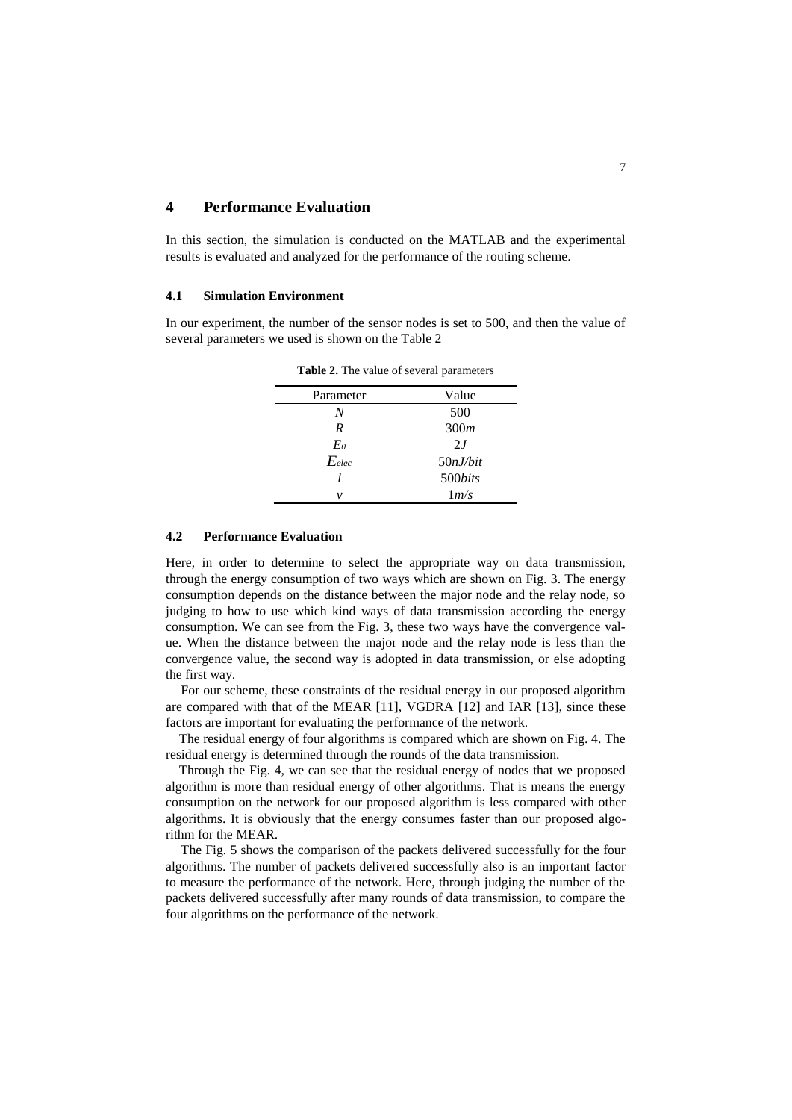# **4 Performance Evaluation**

In this section, the simulation is conducted on the MATLAB and the experimental results is evaluated and analyzed for the performance of the routing scheme.

### **4.1 Simulation Environment**

In our experiment, the number of the sensor nodes is set to 500, and then the value of several parameters we used is shown on the Table 2

| Parameter  | Value           |
|------------|-----------------|
| N          | 500             |
| R          | 300m            |
| $E_0$      | 2J              |
| $E_{elec}$ | $50nJ/b$ it     |
|            | 500 <i>bits</i> |
| ν          | 1m/s            |

**Table 2.** The value of several parameters

### **4.2 Performance Evaluation**

Here, in order to determine to select the appropriate way on data transmission, through the energy consumption of two ways which are shown on Fig. 3. The energy consumption depends on the distance between the major node and the relay node, so judging to how to use which kind ways of data transmission according the energy consumption. We can see from the Fig. 3, these two ways have the convergence value. When the distance between the major node and the relay node is less than the convergence value, the second way is adopted in data transmission, or else adopting the first way.

For our scheme, these constraints of the residual energy in our proposed algorithm are compared with that of the MEAR [11], VGDRA [12] and IAR [13], since these factors are important for evaluating the performance of the network.

The residual energy of four algorithms is compared which are shown on Fig. 4. The residual energy is determined through the rounds of the data transmission.

Through the Fig. 4, we can see that the residual energy of nodes that we proposed algorithm is more than residual energy of other algorithms. That is means the energy consumption on the network for our proposed algorithm is less compared with other algorithms. It is obviously that the energy consumes faster than our proposed algorithm for the MEAR.

The Fig. 5 shows the comparison of the packets delivered successfully for the four algorithms. The number of packets delivered successfully also is an important factor to measure the performance of the network. Here, through judging the number of the packets delivered successfully after many rounds of data transmission, to compare the four algorithms on the performance of the network.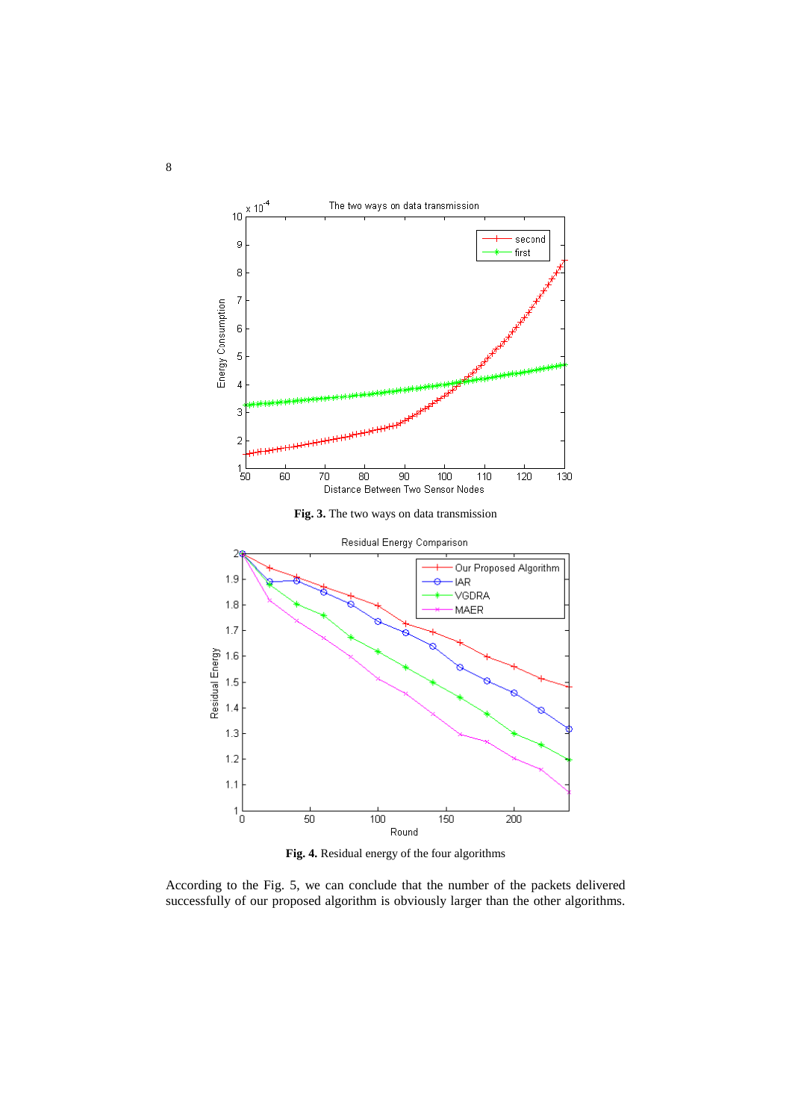

**Fig. 4.** Residual energy of the four algorithms

According to the Fig. 5, we can conclude that the number of the packets delivered successfully of our proposed algorithm is obviously larger than the other algorithms.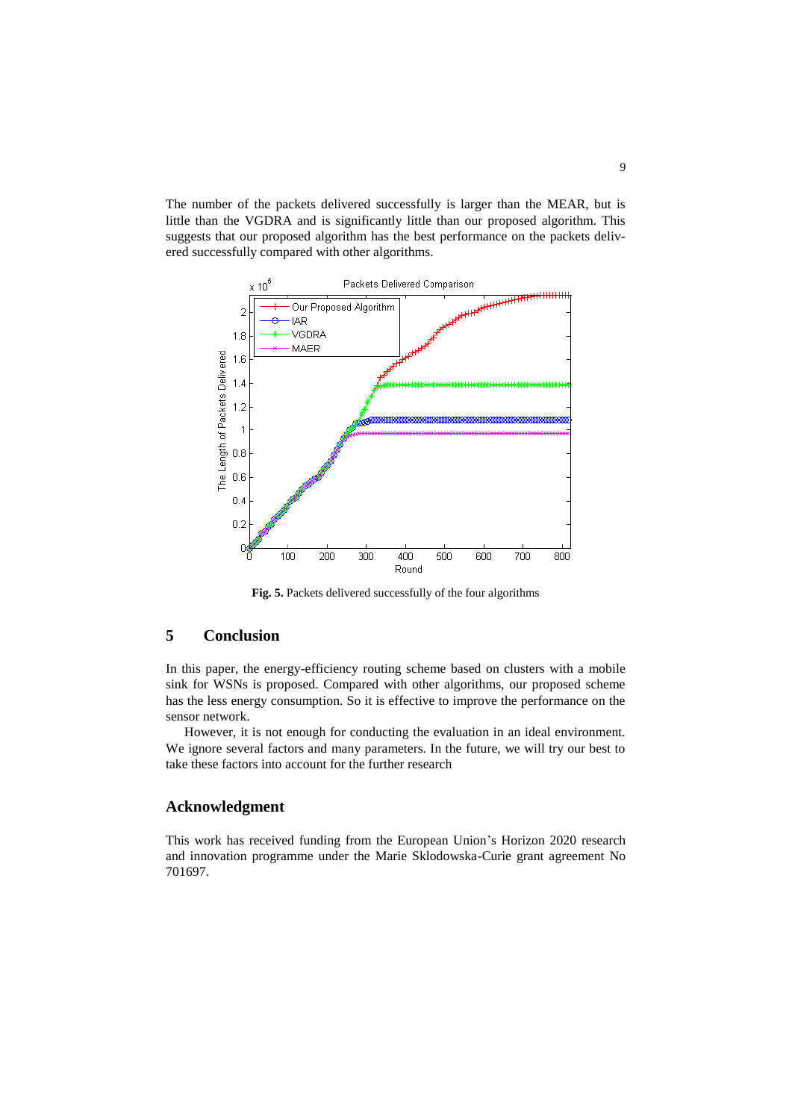The number of the packets delivered successfully is larger than the MEAR, but is little than the VGDRA and is significantly little than our proposed algorithm. This suggests that our proposed algorithm has the best performance on the packets delivered successfully compared with other algorithms.



**Fig. 5.** Packets delivered successfully of the four algorithms

# **5 Conclusion**

In this paper, the energy-efficiency routing scheme based on clusters with a mobile sink for WSNs is proposed. Compared with other algorithms, our proposed scheme has the less energy consumption. So it is effective to improve the performance on the sensor network.

However, it is not enough for conducting the evaluation in an ideal environment. We ignore several factors and many parameters. In the future, we will try our best to take these factors into account for the further research

### **Acknowledgment**

This work has received funding from the European Union's Horizon 2020 research and innovation programme under the Marie Sklodowska-Curie grant agreement No 701697.